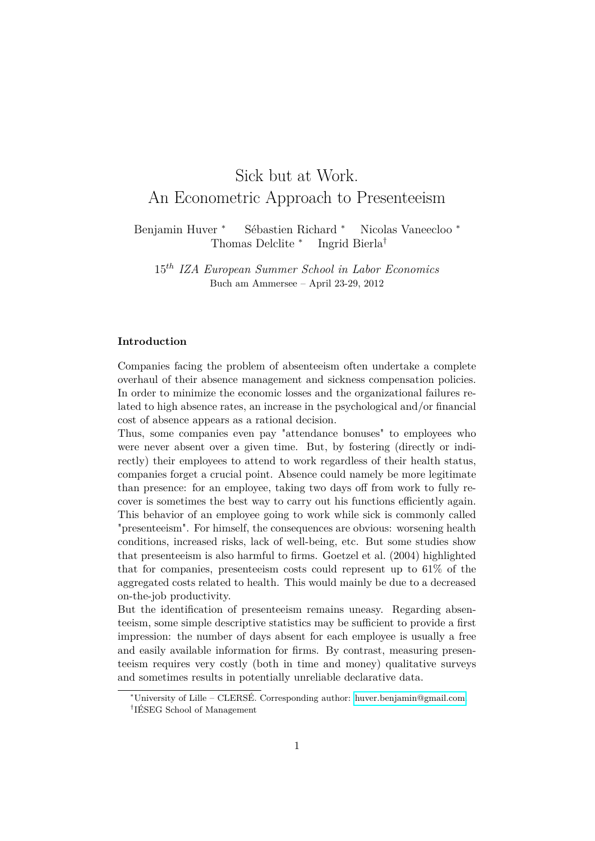# Sick but at Work. An Econometric Approach to Presenteeism

Benjamin Huver <sup>∗</sup> Sébastien Richard <sup>∗</sup> Nicolas Vaneecloo <sup>∗</sup> Thomas Delclite <sup>∗</sup> Ingrid Bierla†

15*th IZA European Summer School in Labor Economics* Buch am Ammersee – April 23-29, 2012

#### **Introduction**

Companies facing the problem of absenteeism often undertake a complete overhaul of their absence management and sickness compensation policies. In order to minimize the economic losses and the organizational failures related to high absence rates, an increase in the psychological and/or financial cost of absence appears as a rational decision.

Thus, some companies even pay "attendance bonuses" to employees who were never absent over a given time. But, by fostering (directly or indirectly) their employees to attend to work regardless of their health status, companies forget a crucial point. Absence could namely be more legitimate than presence: for an employee, taking two days off from work to fully recover is sometimes the best way to carry out his functions efficiently again. This behavior of an employee going to work while sick is commonly called "presenteeism". For himself, the consequences are obvious: worsening health conditions, increased risks, lack of well-being, etc. But some studies show that presenteeism is also harmful to firms. Goetzel et al. (2004) highlighted that for companies, presenteeism costs could represent up to 61% of the aggregated costs related to health. This would mainly be due to a decreased on-the-job productivity.

But the identification of presenteeism remains uneasy. Regarding absenteeism, some simple descriptive statistics may be sufficient to provide a first impression: the number of days absent for each employee is usually a free and easily available information for firms. By contrast, measuring presenteeism requires very costly (both in time and money) qualitative surveys and sometimes results in potentially unreliable declarative data.

<sup>∗</sup>University of Lille – CLERSÉ. Corresponding author: [huver.benjamin@gmail.com.](mailto:huver.benjamin@gmail.com)

<sup>†</sup> IÉSEG School of Management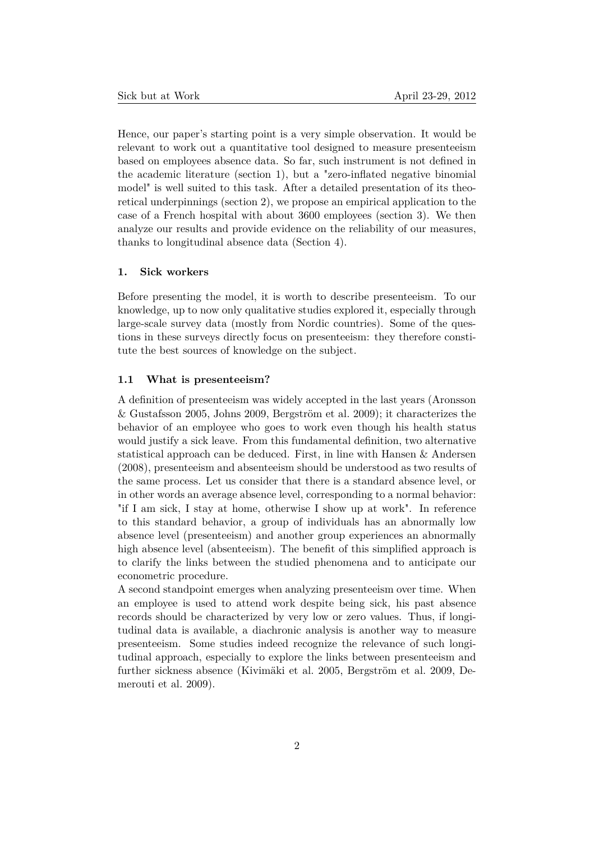Hence, our paper's starting point is a very simple observation. It would be relevant to work out a quantitative tool designed to measure presenteeism based on employees absence data. So far, such instrument is not defined in the academic literature (section 1), but a "zero-inflated negative binomial model" is well suited to this task. After a detailed presentation of its theoretical underpinnings (section 2), we propose an empirical application to the case of a French hospital with about 3600 employees (section 3). We then analyze our results and provide evidence on the reliability of our measures, thanks to longitudinal absence data (Section 4).

# **1. Sick workers**

Before presenting the model, it is worth to describe presenteeism. To our knowledge, up to now only qualitative studies explored it, especially through large-scale survey data (mostly from Nordic countries). Some of the questions in these surveys directly focus on presenteeism: they therefore constitute the best sources of knowledge on the subject.

#### <span id="page-1-0"></span>**1.1 What is presenteeism?**

A definition of presenteeism was widely accepted in the last years (Aronsson & Gustafsson 2005, Johns 2009, Bergström et al. 2009); it characterizes the behavior of an employee who goes to work even though his health status would justify a sick leave. From this fundamental definition, two alternative statistical approach can be deduced. First, in line with Hansen & Andersen (2008), presenteeism and absenteeism should be understood as two results of the same process. Let us consider that there is a standard absence level, or in other words an average absence level, corresponding to a normal behavior: "if I am sick, I stay at home, otherwise I show up at work". In reference to this standard behavior, a group of individuals has an abnormally low absence level (presenteeism) and another group experiences an abnormally high absence level (absenteeism). The benefit of this simplified approach is to clarify the links between the studied phenomena and to anticipate our econometric procedure.

A second standpoint emerges when analyzing presenteeism over time. When an employee is used to attend work despite being sick, his past absence records should be characterized by very low or zero values. Thus, if longitudinal data is available, a diachronic analysis is another way to measure presenteeism. Some studies indeed recognize the relevance of such longitudinal approach, especially to explore the links between presenteeism and further sickness absence (Kivimäki et al. 2005, Bergström et al. 2009, Demerouti et al. 2009).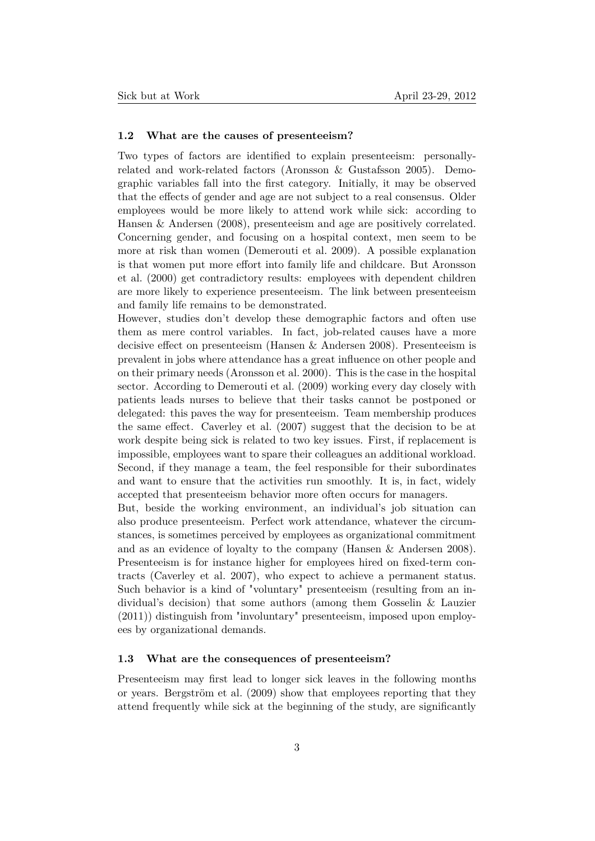# **1.2 What are the causes of presenteeism?**

Two types of factors are identified to explain presenteeism: personallyrelated and work-related factors (Aronsson & Gustafsson 2005). Demographic variables fall into the first category. Initially, it may be observed that the effects of gender and age are not subject to a real consensus. Older employees would be more likely to attend work while sick: according to Hansen & Andersen (2008), presenteeism and age are positively correlated. Concerning gender, and focusing on a hospital context, men seem to be more at risk than women (Demerouti et al. 2009). A possible explanation is that women put more effort into family life and childcare. But Aronsson et al. (2000) get contradictory results: employees with dependent children are more likely to experience presenteeism. The link between presenteeism and family life remains to be demonstrated.

However, studies don't develop these demographic factors and often use them as mere control variables. In fact, job-related causes have a more decisive effect on presenteeism (Hansen & Andersen 2008). Presenteeism is prevalent in jobs where attendance has a great influence on other people and on their primary needs (Aronsson et al. 2000). This is the case in the hospital sector. According to Demerouti et al. (2009) working every day closely with patients leads nurses to believe that their tasks cannot be postponed or delegated: this paves the way for presenteeism. Team membership produces the same effect. Caverley et al. (2007) suggest that the decision to be at work despite being sick is related to two key issues. First, if replacement is impossible, employees want to spare their colleagues an additional workload. Second, if they manage a team, the feel responsible for their subordinates and want to ensure that the activities run smoothly. It is, in fact, widely accepted that presenteeism behavior more often occurs for managers.

But, beside the working environment, an individual's job situation can also produce presenteeism. Perfect work attendance, whatever the circumstances, is sometimes perceived by employees as organizational commitment and as an evidence of loyalty to the company (Hansen & Andersen 2008). Presenteeism is for instance higher for employees hired on fixed-term contracts (Caverley et al. 2007), who expect to achieve a permanent status. Such behavior is a kind of "voluntary" presenteeism (resulting from an individual's decision) that some authors (among them Gosselin & Lauzier (2011)) distinguish from "involuntary" presenteeism, imposed upon employees by organizational demands.

#### **1.3 What are the consequences of presenteeism?**

Presenteeism may first lead to longer sick leaves in the following months or years. Bergström et al. (2009) show that employees reporting that they attend frequently while sick at the beginning of the study, are significantly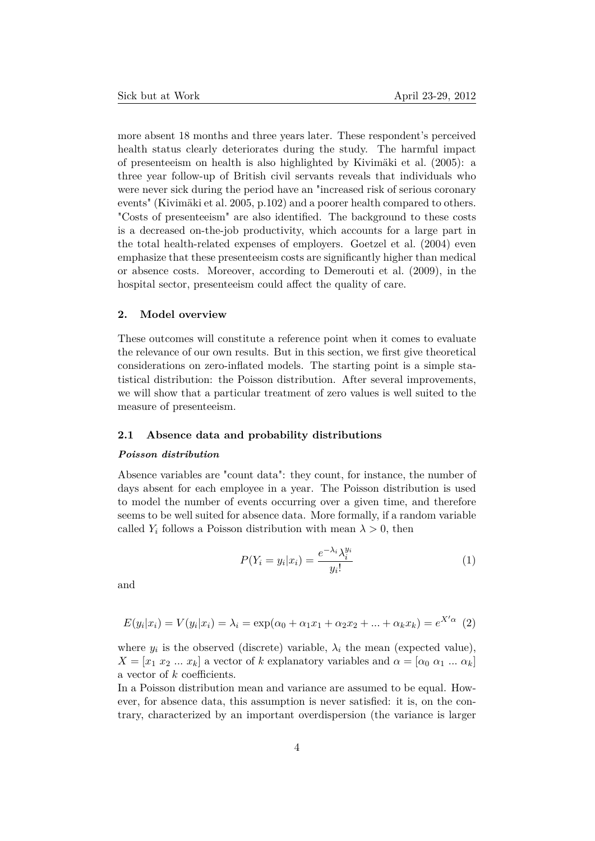more absent 18 months and three years later. These respondent's perceived health status clearly deteriorates during the study. The harmful impact of presenteeism on health is also highlighted by Kivimäki et al. (2005): a three year follow-up of British civil servants reveals that individuals who were never sick during the period have an "increased risk of serious coronary events" (Kivimäki et al. 2005, p.102) and a poorer health compared to others. "Costs of presenteeism" are also identified. The background to these costs is a decreased on-the-job productivity, which accounts for a large part in the total health-related expenses of employers. Goetzel et al. (2004) even emphasize that these presenteeism costs are significantly higher than medical or absence costs. Moreover, according to Demerouti et al. (2009), in the hospital sector, presenteeism could affect the quality of care.

# **2. Model overview**

These outcomes will constitute a reference point when it comes to evaluate the relevance of our own results. But in this section, we first give theoretical considerations on zero-inflated models. The starting point is a simple statistical distribution: the Poisson distribution. After several improvements, we will show that a particular treatment of zero values is well suited to the measure of presenteeism.

# **2.1 Absence data and probability distributions**

#### *Poisson distribution*

Absence variables are "count data": they count, for instance, the number of days absent for each employee in a year. The Poisson distribution is used to model the number of events occurring over a given time, and therefore seems to be well suited for absence data. More formally, if a random variable called  $Y_i$  follows a Poisson distribution with mean  $\lambda > 0$ , then

<span id="page-3-0"></span>
$$
P(Y_i = y_i | x_i) = \frac{e^{-\lambda_i} \lambda_i^{y_i}}{y_i!}
$$
 (1)

and

$$
E(y_i|x_i) = V(y_i|x_i) = \lambda_i = \exp(\alpha_0 + \alpha_1 x_1 + \alpha_2 x_2 + \dots + \alpha_k x_k) = e^{X'\alpha}
$$
 (2)

where  $y_i$  is the observed (discrete) variable,  $\lambda_i$  the mean (expected value),  $X = [x_1 \ x_2 \ ... \ x_k]$  a vector of *k* explanatory variables and  $\alpha = [\alpha_0 \ \alpha_1 \ ... \ \alpha_k]$ a vector of *k* coefficients.

In a Poisson distribution mean and variance are assumed to be equal. However, for absence data, this assumption is never satisfied: it is, on the contrary, characterized by an important overdispersion (the variance is larger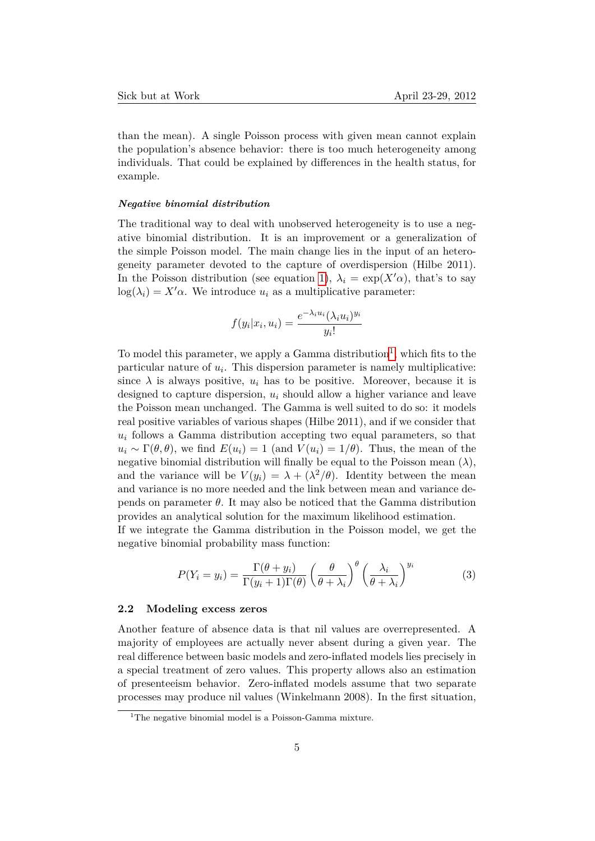than the mean). A single Poisson process with given mean cannot explain the population's absence behavior: there is too much heterogeneity among individuals. That could be explained by differences in the health status, for example.

#### *Negative binomial distribution*

The traditional way to deal with unobserved heterogeneity is to use a negative binomial distribution. It is an improvement or a generalization of the simple Poisson model. The main change lies in the input of an heterogeneity parameter devoted to the capture of overdispersion (Hilbe 2011). In the Poisson distribution (see equation [1\)](#page-3-0),  $\lambda_i = \exp(X'\alpha)$ , that's to say  $log(\lambda_i) = X' \alpha$ . We introduce  $u_i$  as a multiplicative parameter:

$$
f(y_i|x_i, u_i) = \frac{e^{-\lambda_i u_i} (\lambda_i u_i)^{y_i}}{y_i!}
$$

To model this parameter, we apply a Gamma distribution<sup>[1](#page-4-0)</sup>, which fits to the particular nature of *u<sup>i</sup>* . This dispersion parameter is namely multiplicative: since  $\lambda$  is always positive,  $u_i$  has to be positive. Moreover, because it is designed to capture dispersion, *u<sup>i</sup>* should allow a higher variance and leave the Poisson mean unchanged. The Gamma is well suited to do so: it models real positive variables of various shapes (Hilbe 2011), and if we consider that  $u_i$  follows a Gamma distribution accepting two equal parameters, so that  $u_i \sim \Gamma(\theta, \theta)$ , we find  $E(u_i) = 1$  (and  $V(u_i) = 1/\theta$ ). Thus, the mean of the negative binomial distribution will finally be equal to the Poisson mean  $(\lambda)$ , and the variance will be  $V(y_i) = \lambda + (\lambda^2/\theta)$ . Identity between the mean and variance is no more needed and the link between mean and variance depends on parameter *θ*. It may also be noticed that the Gamma distribution provides an analytical solution for the maximum likelihood estimation.

If we integrate the Gamma distribution in the Poisson model, we get the negative binomial probability mass function:

$$
P(Y_i = y_i) = \frac{\Gamma(\theta + y_i)}{\Gamma(y_i + 1)\Gamma(\theta)} \left(\frac{\theta}{\theta + \lambda_i}\right)^{\theta} \left(\frac{\lambda_i}{\theta + \lambda_i}\right)^{y_i}
$$
(3)

#### **2.2 Modeling excess zeros**

Another feature of absence data is that nil values are overrepresented. A majority of employees are actually never absent during a given year. The real difference between basic models and zero-inflated models lies precisely in a special treatment of zero values. This property allows also an estimation of presenteeism behavior. Zero-inflated models assume that two separate processes may produce nil values (Winkelmann 2008). In the first situation,

<span id="page-4-0"></span><sup>&</sup>lt;sup>1</sup>The negative binomial model is a Poisson-Gamma mixture.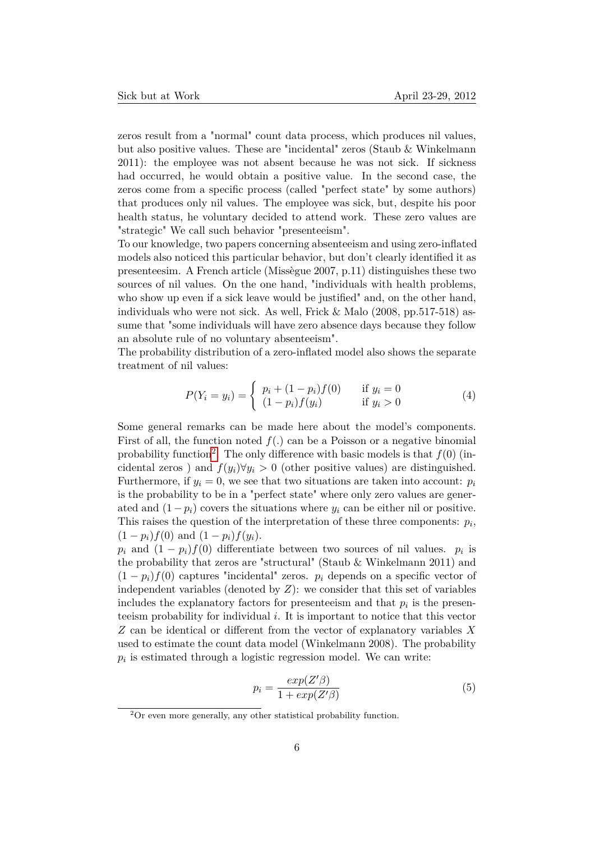zeros result from a "normal" count data process, which produces nil values, but also positive values. These are "incidental" zeros (Staub & Winkelmann 2011): the employee was not absent because he was not sick. If sickness had occurred, he would obtain a positive value. In the second case, the zeros come from a specific process (called "perfect state" by some authors) that produces only nil values. The employee was sick, but, despite his poor health status, he voluntary decided to attend work. These zero values are "strategic" We call such behavior "presenteeism".

To our knowledge, two papers concerning absenteeism and using zero-inflated models also noticed this particular behavior, but don't clearly identified it as presenteesim. A French article (Missègue 2007, p.11) distinguishes these two sources of nil values. On the one hand, "individuals with health problems, who show up even if a sick leave would be justified" and, on the other hand, individuals who were not sick. As well, Frick & Malo (2008, pp.517-518) assume that "some individuals will have zero absence days because they follow an absolute rule of no voluntary absenteeism".

The probability distribution of a zero-inflated model also shows the separate treatment of nil values:

<span id="page-5-1"></span>
$$
P(Y_i = y_i) = \begin{cases} p_i + (1 - p_i)f(0) & \text{if } y_i = 0\\ (1 - p_i)f(y_i) & \text{if } y_i > 0 \end{cases}
$$
 (4)

Some general remarks can be made here about the model's components. First of all, the function noted  $f(.)$  can be a Poisson or a negative binomial probability function<sup>[2](#page-5-0)</sup>. The only difference with basic models is that  $f(0)$  (incidental zeros) and  $f(y_i) \forall y_i > 0$  (other positive values) are distinguished. Furthermore, if  $y_i = 0$ , we see that two situations are taken into account:  $p_i$ is the probability to be in a "perfect state" where only zero values are generated and  $(1-p_i)$  covers the situations where  $y_i$  can be either nil or positive. This raises the question of the interpretation of these three components:  $p_i$ ,  $(1 - p_i)f(0)$  and  $(1 - p_i)f(y_i)$ .

 $p_i$  and  $(1 - p_i)f(0)$  differentiate between two sources of nil values.  $p_i$  is the probability that zeros are "structural" (Staub & Winkelmann 2011) and  $(1 - p_i)f(0)$  captures "incidental" zeros.  $p_i$  depends on a specific vector of independent variables (denoted by *Z*): we consider that this set of variables includes the explanatory factors for presenteeism and that  $p_i$  is the presenteeism probability for individual *i*. It is important to notice that this vector *Z* can be identical or different from the vector of explanatory variables *X* used to estimate the count data model (Winkelmann 2008). The probability  $p_i$  is estimated through a logistic regression model. We can write:

$$
p_i = \frac{exp(Z'\beta)}{1 + exp(Z'\beta)}
$$
(5)

<span id="page-5-0"></span> $2^2$ Or even more generally, any other statistical probability function.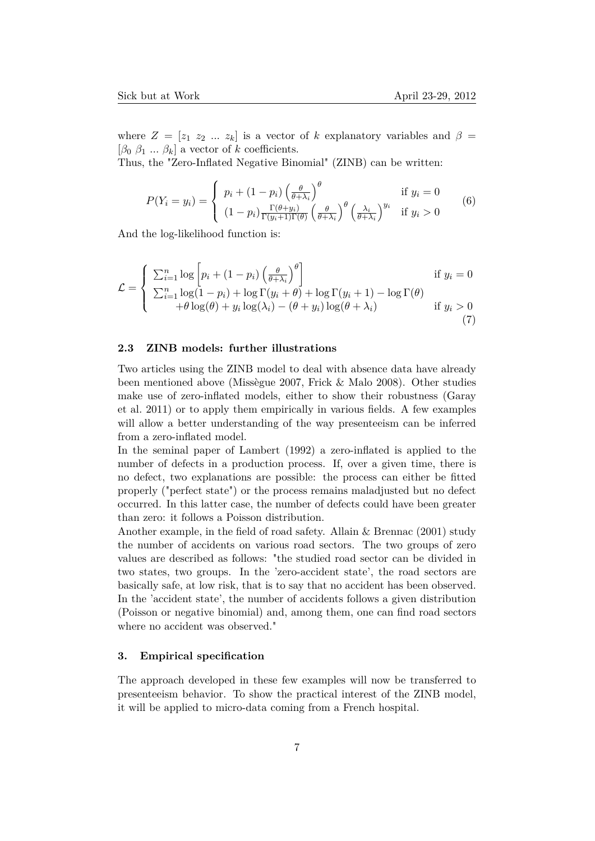where  $Z = [z_1 \ z_2 \ ... \ z_k]$  is a vector of *k* explanatory variables and  $\beta =$  $[\beta_0 \ \beta_1 \ \dots \ \beta_k]$  a vector of *k* coefficients.

Thus, the "Zero-Inflated Negative Binomial" (ZINB) can be written:

$$
P(Y_i = y_i) = \begin{cases} p_i + (1 - p_i) \left(\frac{\theta}{\theta + \lambda_i}\right)^{\theta} & \text{if } y_i = 0\\ (1 - p_i) \frac{\Gamma(\theta + y_i)}{\Gamma(y_i + 1)\Gamma(\theta)} \left(\frac{\theta}{\theta + \lambda_i}\right)^{\theta} \left(\frac{\lambda_i}{\theta + \lambda_i}\right)^{y_i} & \text{if } y_i > 0 \end{cases}
$$
(6)

And the log-likelihood function is:

<span id="page-6-0"></span>
$$
\mathcal{L} = \begin{cases}\n\sum_{i=1}^{n} \log \left[ p_i + (1 - p_i) \left( \frac{\theta}{\theta + \lambda_i} \right)^{\theta} \right] & \text{if } y_i = 0 \\
\sum_{i=1}^{n} \log (1 - p_i) + \log \Gamma(y_i + \theta) + \log \Gamma(y_i + 1) - \log \Gamma(\theta) \\
+ \theta \log(\theta) + y_i \log(\lambda_i) - (\theta + y_i) \log(\theta + \lambda_i) & \text{if } y_i > 0\n\end{cases}
$$
\n(7)

# **2.3 ZINB models: further illustrations**

Two articles using the ZINB model to deal with absence data have already been mentioned above (Missègue 2007, Frick & Malo 2008). Other studies make use of zero-inflated models, either to show their robustness (Garay et al. 2011) or to apply them empirically in various fields. A few examples will allow a better understanding of the way presenteeism can be inferred from a zero-inflated model.

In the seminal paper of Lambert (1992) a zero-inflated is applied to the number of defects in a production process. If, over a given time, there is no defect, two explanations are possible: the process can either be fitted properly ("perfect state") or the process remains maladjusted but no defect occurred. In this latter case, the number of defects could have been greater than zero: it follows a Poisson distribution.

Another example, in the field of road safety. Allain & Brennac (2001) study the number of accidents on various road sectors. The two groups of zero values are described as follows: "the studied road sector can be divided in two states, two groups. In the 'zero-accident state', the road sectors are basically safe, at low risk, that is to say that no accident has been observed. In the 'accident state', the number of accidents follows a given distribution (Poisson or negative binomial) and, among them, one can find road sectors where no accident was observed."

#### **3. Empirical specification**

The approach developed in these few examples will now be transferred to presenteeism behavior. To show the practical interest of the ZINB model, it will be applied to micro-data coming from a French hospital.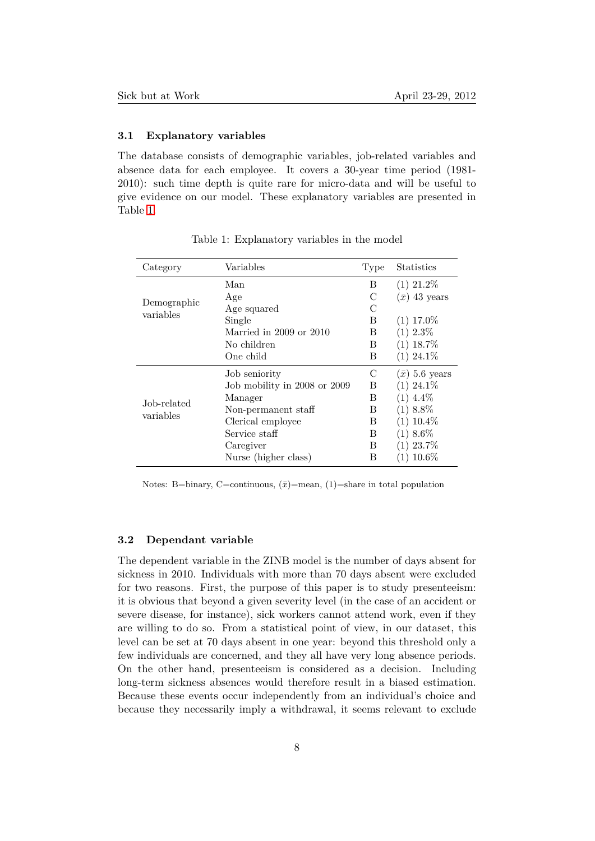# **3.1 Explanatory variables**

The database consists of demographic variables, job-related variables and absence data for each employee. It covers a 30-year time period (1981- 2010): such time depth is quite rare for micro-data and will be useful to give evidence on our model. These explanatory variables are presented in Table [1.](#page-7-0)

| Category                 | Variables                    | Type | <b>Statistics</b>     |
|--------------------------|------------------------------|------|-----------------------|
|                          | Man                          | B    | $(1)$ 21.2%           |
|                          | Age                          | C    | $(\bar{x})$ 43 years  |
| Demographic<br>variables | Age squared                  | C    |                       |
|                          | Single                       | B    | $(1)$ 17.0%           |
|                          | Married in 2009 or 2010      | B    | $(1)$ 2.3\%           |
|                          | No children                  | В    | $(1)$ 18.7%           |
|                          | One child                    | В    | $(1)$ 24.1\%          |
|                          | Job seniority                | C    | $(\bar{x})$ 5.6 years |
| Job-related              | Job mobility in 2008 or 2009 | B    | $(1)$ 24.1\%          |
|                          | Manager                      | В    | $(1)$ 4.4\%           |
| variables                | Non-permanent staff          | В    | $(1)$ 8.8%            |
|                          | Clerical employee            | B    | $(1)$ 10.4%           |
|                          | Service staff                | B    | $(1)$ 8.6\%           |
|                          | Caregiver                    | В    | $(1)$ 23.7%           |
|                          | Nurse (higher class)         | В    | 10.6%                 |

<span id="page-7-0"></span>Table 1: Explanatory variables in the model

Notes: B=binary, C=continuous,  $(\bar{x})$ =mean, (1)=share in total population

# **3.2 Dependant variable**

The dependent variable in the ZINB model is the number of days absent for sickness in 2010. Individuals with more than 70 days absent were excluded for two reasons. First, the purpose of this paper is to study presenteeism: it is obvious that beyond a given severity level (in the case of an accident or severe disease, for instance), sick workers cannot attend work, even if they are willing to do so. From a statistical point of view, in our dataset, this level can be set at 70 days absent in one year: beyond this threshold only a few individuals are concerned, and they all have very long absence periods. On the other hand, presenteeism is considered as a decision. Including long-term sickness absences would therefore result in a biased estimation. Because these events occur independently from an individual's choice and because they necessarily imply a withdrawal, it seems relevant to exclude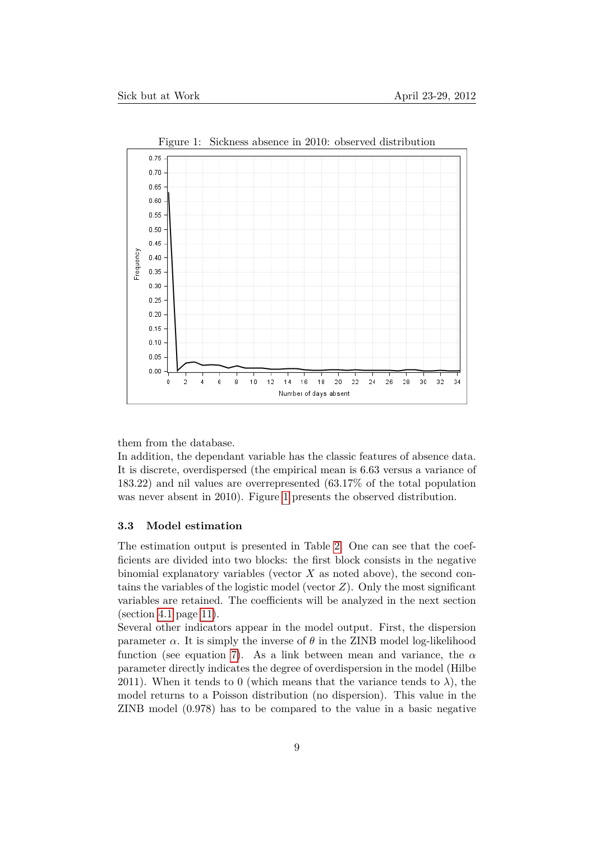

<span id="page-8-0"></span>Figure 1: Sickness absence in 2010: observed distribution

them from the database.

In addition, the dependant variable has the classic features of absence data. It is discrete, overdispersed (the empirical mean is 6.63 versus a variance of 183.22) and nil values are overrepresented (63.17% of the total population was never absent in 2010). Figure [1](#page-8-0) presents the observed distribution.

#### **3.3 Model estimation**

The estimation output is presented in Table [2.](#page-9-0) One can see that the coefficients are divided into two blocks: the first block consists in the negative binomial explanatory variables (vector *X* as noted above), the second contains the variables of the logistic model (vector *Z*). Only the most significant variables are retained. The coefficients will be analyzed in the next section (section [4.1](#page-10-0) page [11\)](#page-10-0).

Several other indicators appear in the model output. First, the dispersion parameter  $\alpha$ . It is simply the inverse of  $\theta$  in the ZINB model log-likelihood function (see equation [7\)](#page-6-0). As a link between mean and variance, the *α* parameter directly indicates the degree of overdispersion in the model (Hilbe 2011). When it tends to 0 (which means that the variance tends to  $\lambda$ ), the model returns to a Poisson distribution (no dispersion). This value in the ZINB model (0.978) has to be compared to the value in a basic negative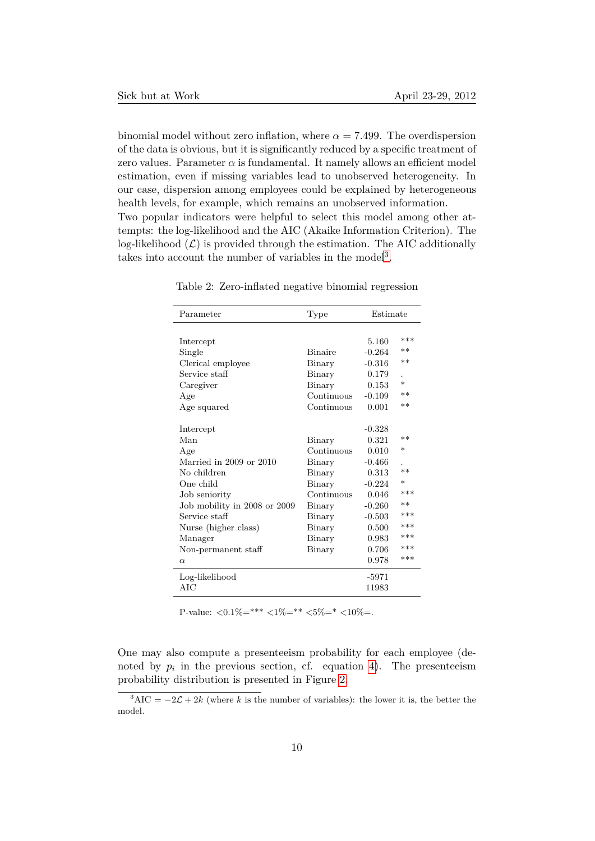binomial model without zero inflation, where  $\alpha = 7.499$ . The overdispersion of the data is obvious, but it is significantly reduced by a specific treatment of zero values. Parameter  $\alpha$  is fundamental. It namely allows an efficient model estimation, even if missing variables lead to unobserved heterogeneity. In our case, dispersion among employees could be explained by heterogeneous health levels, for example, which remains an unobserved information.

Two popular indicators were helpful to select this model among other attempts: the log-likelihood and the AIC (Akaike Information Criterion). The log-likelihood  $(\mathcal{L})$  is provided through the estimation. The AIC additionally takes into account the number of variables in the model<sup>[3](#page-9-1)</sup>.

| Parameter                    | Type           | Estimate |         |
|------------------------------|----------------|----------|---------|
|                              |                |          |         |
| Intercept                    |                | 5.160    | $***$   |
| Single                       | <b>Binaire</b> | $-0.264$ | $**$    |
| Clerical employee            | Binary         | $-0.316$ | $**$    |
| Service staff                | Binary         | 0.179    |         |
| Caregiver                    | Binary         | 0.153    | $\ast$  |
| Age                          | Continuous     | $-0.109$ | $**$    |
| Age squared                  | Continuous     | 0.001    | $**$    |
|                              |                |          |         |
| Intercept                    |                | $-0.328$ |         |
| Man                          | Binary         | 0.321    | $**$    |
| Age                          | Continuous     | 0.010    | $^\ast$ |
| Married in 2009 or 2010      | Binary         | $-0.466$ |         |
| No children                  | Binary         | 0.313    | $**$    |
| One child                    | Binary         | $-0.224$ | $\ast$  |
| Job seniority                | Continuous     | 0.046    | ***     |
| Job mobility in 2008 or 2009 | Binary         | $-0.260$ | $**$    |
| Service staff                | Binary         | $-0.503$ | ***     |
| Nurse (higher class)         | Binary         | 0.500    | $***$   |
| Manager                      | Binary         | 0.983    | ***     |
| Non-permanent staff          | Binary         | 0.706    | $***$   |
| $\alpha$                     |                | 0.978    | ***     |
| Log-likelihood               |                | -5971    |         |
| AIC                          |                | 11983    |         |

<span id="page-9-0"></span>Table 2: Zero-inflated negative binomial regression

P-value:  $\langle 0.1\% = *** \langle 1\% = ** \langle 5\% = * \langle 10\% =$ .

One may also compute a presenteeism probability for each employee (denoted by  $p_i$  in the previous section, cf. equation [4\)](#page-5-1). The presenteeism probability distribution is presented in Figure [2.](#page-10-1)

<span id="page-9-1"></span> $3AIC = -2\mathcal{L} + 2k$  (where *k* is the number of variables): the lower it is, the better the model.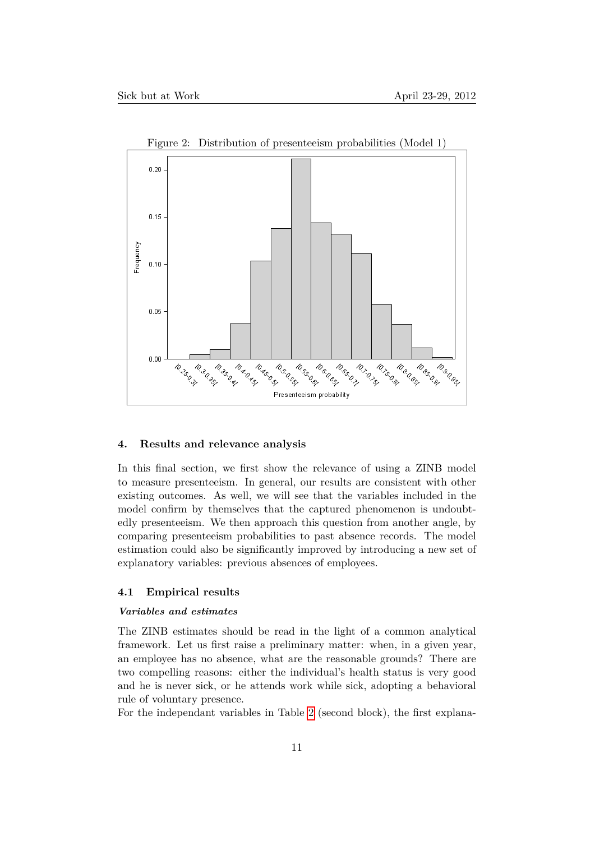

<span id="page-10-1"></span>Figure 2: Distribution of presenteeism probabilities (Model 1)

# **4. Results and relevance analysis**

In this final section, we first show the relevance of using a ZINB model to measure presenteeism. In general, our results are consistent with other existing outcomes. As well, we will see that the variables included in the model confirm by themselves that the captured phenomenon is undoubtedly presenteeism. We then approach this question from another angle, by comparing presenteeism probabilities to past absence records. The model estimation could also be significantly improved by introducing a new set of explanatory variables: previous absences of employees.

# <span id="page-10-0"></span>**4.1 Empirical results**

#### *Variables and estimates*

The ZINB estimates should be read in the light of a common analytical framework. Let us first raise a preliminary matter: when, in a given year, an employee has no absence, what are the reasonable grounds? There are two compelling reasons: either the individual's health status is very good and he is never sick, or he attends work while sick, adopting a behavioral rule of voluntary presence.

For the independant variables in Table [2](#page-9-0) (second block), the first explana-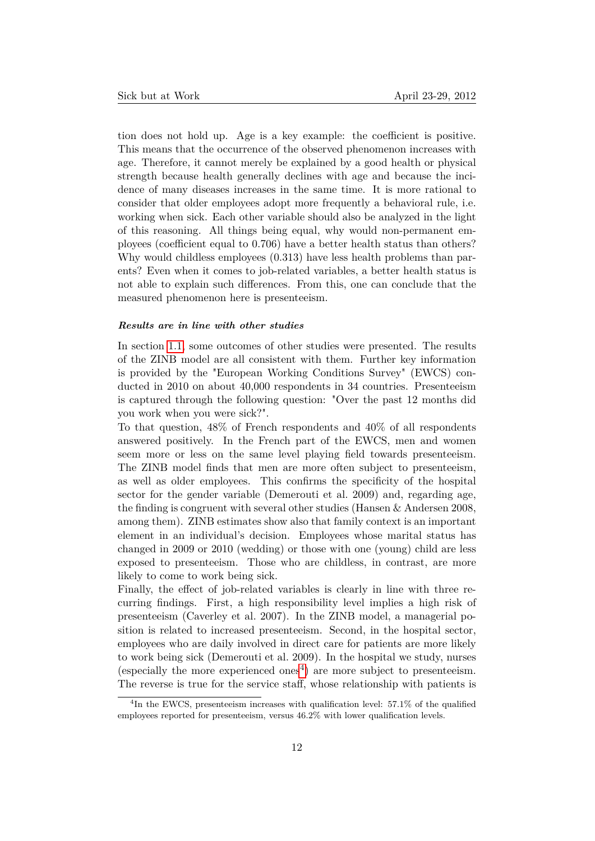tion does not hold up. Age is a key example: the coefficient is positive. This means that the occurrence of the observed phenomenon increases with age. Therefore, it cannot merely be explained by a good health or physical strength because health generally declines with age and because the incidence of many diseases increases in the same time. It is more rational to consider that older employees adopt more frequently a behavioral rule, i.e. working when sick. Each other variable should also be analyzed in the light of this reasoning. All things being equal, why would non-permanent employees (coefficient equal to 0.706) have a better health status than others? Why would childless employees (0.313) have less health problems than parents? Even when it comes to job-related variables, a better health status is not able to explain such differences. From this, one can conclude that the measured phenomenon here is presenteeism.

#### *Results are in line with other studies*

In section [1.1,](#page-1-0) some outcomes of other studies were presented. The results of the ZINB model are all consistent with them. Further key information is provided by the "European Working Conditions Survey" (EWCS) conducted in 2010 on about 40,000 respondents in 34 countries. Presenteeism is captured through the following question: "Over the past 12 months did you work when you were sick?".

To that question, 48% of French respondents and 40% of all respondents answered positively. In the French part of the EWCS, men and women seem more or less on the same level playing field towards presenteeism. The ZINB model finds that men are more often subject to presenteeism, as well as older employees. This confirms the specificity of the hospital sector for the gender variable (Demerouti et al. 2009) and, regarding age, the finding is congruent with several other studies (Hansen & Andersen 2008, among them). ZINB estimates show also that family context is an important element in an individual's decision. Employees whose marital status has changed in 2009 or 2010 (wedding) or those with one (young) child are less exposed to presenteeism. Those who are childless, in contrast, are more likely to come to work being sick.

Finally, the effect of job-related variables is clearly in line with three recurring findings. First, a high responsibility level implies a high risk of presenteeism (Caverley et al. 2007). In the ZINB model, a managerial position is related to increased presenteeism. Second, in the hospital sector, employees who are daily involved in direct care for patients are more likely to work being sick (Demerouti et al. 2009). In the hospital we study, nurses (especially the more experienced ones<sup>[4](#page-11-0)</sup>) are more subject to presenteeism. The reverse is true for the service staff, whose relationship with patients is

<span id="page-11-0"></span><sup>&</sup>lt;sup>4</sup>In the EWCS, presenteeism increases with qualification level: 57.1% of the qualified employees reported for presenteeism, versus 46.2% with lower qualification levels.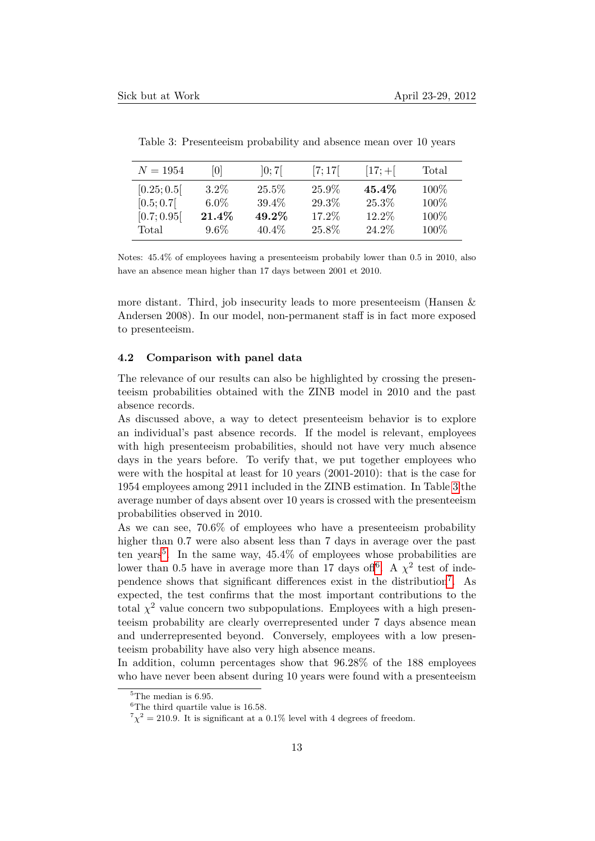| $N = 1954$  | 101      | ]0;7[    | [7;17] | $ 17; + $ | Total |
|-------------|----------|----------|--------|-----------|-------|
| [0.25; 0.5] | $3.2\%$  | 25.5%    | 25.9%  | 45.4%     | 100\% |
| [0.5; 0.7]  | $6.0\%$  | $39.4\%$ | 29.3%  | 25.3%     | 100%  |
| [0.7; 0.95] | $21.4\%$ | 49.2%    | 17.2%  | 12.2%     | 100%  |
| Total       | $9.6\%$  | $40.4\%$ | 25.8%  | 24.2%     | 100%  |

<span id="page-12-0"></span>Table 3: Presenteeism probability and absence mean over 10 years

Notes: 45.4% of employees having a presenteeism probabily lower than 0.5 in 2010, also have an absence mean higher than 17 days between 2001 et 2010.

more distant. Third, job insecurity leads to more presenteeism (Hansen  $\&$ Andersen 2008). In our model, non-permanent staff is in fact more exposed to presenteeism.

#### **4.2 Comparison with panel data**

The relevance of our results can also be highlighted by crossing the presenteeism probabilities obtained with the ZINB model in 2010 and the past absence records.

As discussed above, a way to detect presenteeism behavior is to explore an individual's past absence records. If the model is relevant, employees with high presenteeism probabilities, should not have very much absence days in the years before. To verify that, we put together employees who were with the hospital at least for 10 years (2001-2010): that is the case for 1954 employees among 2911 included in the ZINB estimation. In Table [3](#page-12-0) the average number of days absent over 10 years is crossed with the presenteeism probabilities observed in 2010.

As we can see, 70.6% of employees who have a presenteeism probability higher than 0.7 were also absent less than 7 days in average over the past ten years<sup>[5](#page-12-1)</sup>. In the same way,  $45.4\%$  of employees whose probabilities are lower than 0.5 have in average more than 17 days of  $\mathfrak{h}^6$  $\mathfrak{h}^6$ . A  $\chi^2$  test of inde-pendence shows that significant differences exist in the distribution<sup>[7](#page-12-3)</sup>. As expected, the test confirms that the most important contributions to the total  $\chi^2$  value concern two subpopulations. Employees with a high presenteeism probability are clearly overrepresented under 7 days absence mean and underrepresented beyond. Conversely, employees with a low presenteeism probability have also very high absence means.

In addition, column percentages show that 96.28% of the 188 employees who have never been absent during 10 years were found with a presenteeism

<span id="page-12-1"></span> $5$ The median is 6.95.

<span id="page-12-2"></span> $^6\mathrm{The}$  third quartile value is 16.58.

<span id="page-12-3"></span> $7\chi^2 = 210.9$ . It is significant at a 0.1% level with 4 degrees of freedom.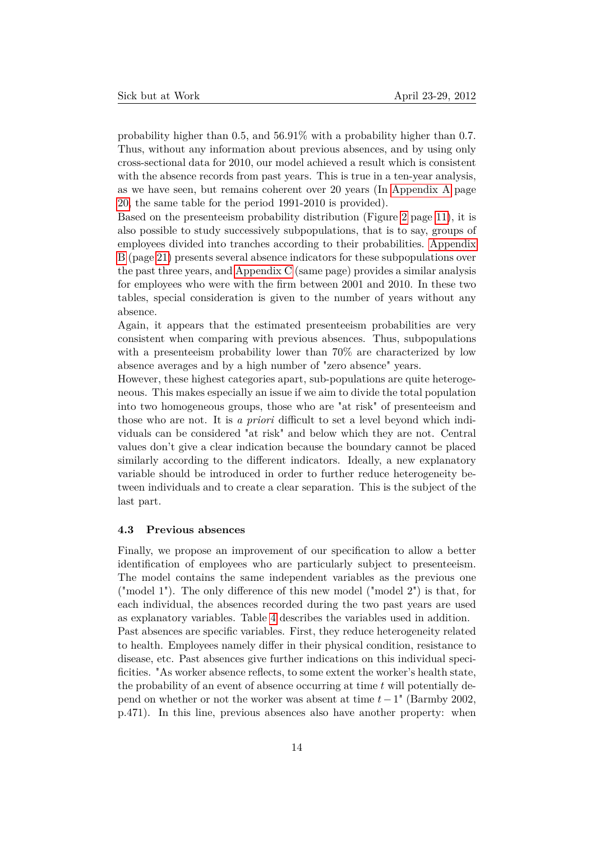probability higher than 0.5, and 56.91% with a probability higher than 0.7. Thus, without any information about previous absences, and by using only cross-sectional data for 2010, our model achieved a result which is consistent with the absence records from past years. This is true in a ten-year analysis, as we have seen, but remains coherent over 20 years (In [Appendix A](#page-19-0) page [20,](#page-19-0) the same table for the period 1991-2010 is provided).

Based on the presenteeism probability distribution (Figure [2](#page-10-1) page [11\)](#page-10-1), it is also possible to study successively subpopulations, that is to say, groups of employees divided into tranches according to their probabilities. [Appendix](#page-20-0) [B](#page-20-0) (page [21\)](#page-20-0) presents several absence indicators for these subpopulations over the past three years, and [Appendix C](#page-20-1) (same page) provides a similar analysis for employees who were with the firm between 2001 and 2010. In these two tables, special consideration is given to the number of years without any absence.

Again, it appears that the estimated presenteeism probabilities are very consistent when comparing with previous absences. Thus, subpopulations with a presenteeism probability lower than 70% are characterized by low absence averages and by a high number of "zero absence" years.

However, these highest categories apart, sub-populations are quite heterogeneous. This makes especially an issue if we aim to divide the total population into two homogeneous groups, those who are "at risk" of presenteeism and those who are not. It is *a priori* difficult to set a level beyond which individuals can be considered "at risk" and below which they are not. Central values don't give a clear indication because the boundary cannot be placed similarly according to the different indicators. Ideally, a new explanatory variable should be introduced in order to further reduce heterogeneity between individuals and to create a clear separation. This is the subject of the last part.

# **4.3 Previous absences**

Finally, we propose an improvement of our specification to allow a better identification of employees who are particularly subject to presenteeism. The model contains the same independent variables as the previous one ("model 1"). The only difference of this new model ("model 2") is that, for each individual, the absences recorded during the two past years are used as explanatory variables. Table [4](#page-14-0) describes the variables used in addition. Past absences are specific variables. First, they reduce heterogeneity related to health. Employees namely differ in their physical condition, resistance to disease, etc. Past absences give further indications on this individual specificities. "As worker absence reflects, to some extent the worker's health state, the probability of an event of absence occurring at time *t* will potentially depend on whether or not the worker was absent at time *t*−1" (Barmby 2002, p.471). In this line, previous absences also have another property: when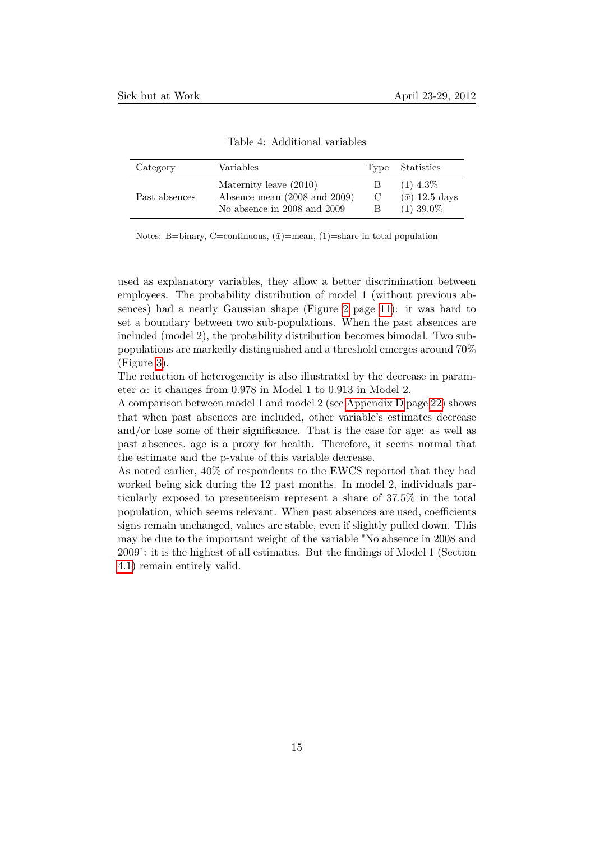| Category      | Variables                                              |        | Type Statistics                      |
|---------------|--------------------------------------------------------|--------|--------------------------------------|
| Past absences | Maternity leave (2010)<br>Absence mean (2008 and 2009) | В<br>C | $(1)$ 4.3\%<br>$(\bar{x})$ 12.5 days |
|               | No absence in 2008 and 2009                            | В      | $(1)$ 39.0%                          |

<span id="page-14-0"></span>Table 4: Additional variables

Notes: B=binary, C=continuous,  $(\bar{x})$ =mean, (1)=share in total population

used as explanatory variables, they allow a better discrimination between employees. The probability distribution of model 1 (without previous absences) had a nearly Gaussian shape (Figure [2](#page-10-1) page [11\)](#page-10-1): it was hard to set a boundary between two sub-populations. When the past absences are included (model 2), the probability distribution becomes bimodal. Two subpopulations are markedly distinguished and a threshold emerges around 70% (Figure [3\)](#page-15-0).

The reduction of heterogeneity is also illustrated by the decrease in parameter  $\alpha$ : it changes from 0.978 in Model 1 to 0.913 in Model 2.

A comparison between model 1 and model 2 (see [Appendix D](#page-21-0) page [22\)](#page-21-0) shows that when past absences are included, other variable's estimates decrease and/or lose some of their significance. That is the case for age: as well as past absences, age is a proxy for health. Therefore, it seems normal that the estimate and the p-value of this variable decrease.

As noted earlier, 40% of respondents to the EWCS reported that they had worked being sick during the 12 past months. In model 2, individuals particularly exposed to presenteeism represent a share of 37.5% in the total population, which seems relevant. When past absences are used, coefficients signs remain unchanged, values are stable, even if slightly pulled down. This may be due to the important weight of the variable "No absence in 2008 and 2009": it is the highest of all estimates. But the findings of Model 1 (Section [4.1\)](#page-10-0) remain entirely valid.

15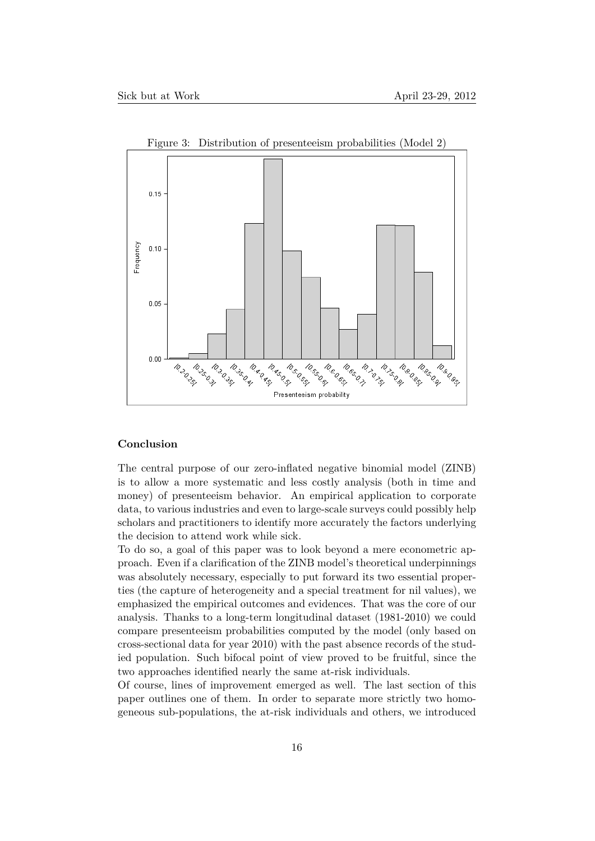

<span id="page-15-0"></span>Figure 3: Distribution of presenteeism probabilities (Model 2)

# **Conclusion**

The central purpose of our zero-inflated negative binomial model (ZINB) is to allow a more systematic and less costly analysis (both in time and money) of presenteeism behavior. An empirical application to corporate data, to various industries and even to large-scale surveys could possibly help scholars and practitioners to identify more accurately the factors underlying the decision to attend work while sick.

To do so, a goal of this paper was to look beyond a mere econometric approach. Even if a clarification of the ZINB model's theoretical underpinnings was absolutely necessary, especially to put forward its two essential properties (the capture of heterogeneity and a special treatment for nil values), we emphasized the empirical outcomes and evidences. That was the core of our analysis. Thanks to a long-term longitudinal dataset (1981-2010) we could compare presenteeism probabilities computed by the model (only based on cross-sectional data for year 2010) with the past absence records of the studied population. Such bifocal point of view proved to be fruitful, since the two approaches identified nearly the same at-risk individuals.

Of course, lines of improvement emerged as well. The last section of this paper outlines one of them. In order to separate more strictly two homogeneous sub-populations, the at-risk individuals and others, we introduced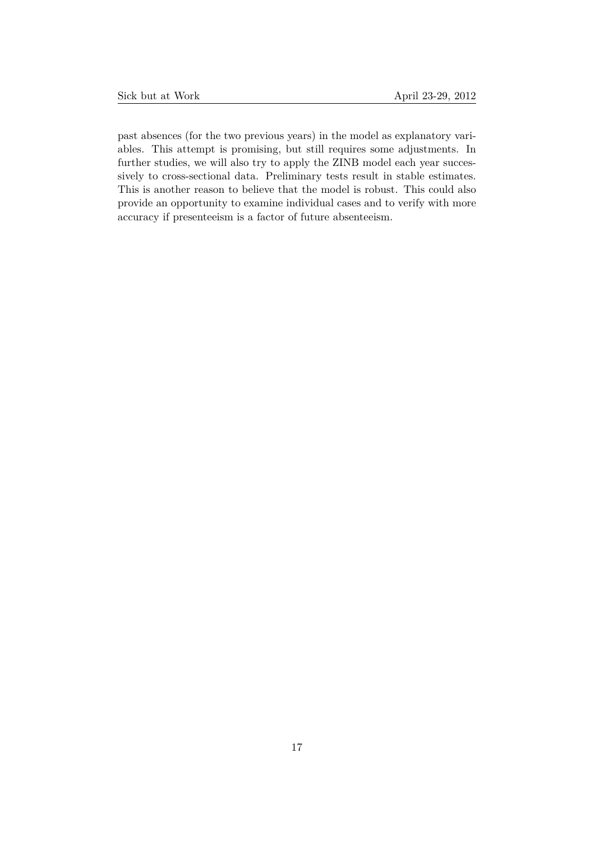past absences (for the two previous years) in the model as explanatory variables. This attempt is promising, but still requires some adjustments. In further studies, we will also try to apply the ZINB model each year successively to cross-sectional data. Preliminary tests result in stable estimates. This is another reason to believe that the model is robust. This could also provide an opportunity to examine individual cases and to verify with more accuracy if presenteeism is a factor of future absenteeism.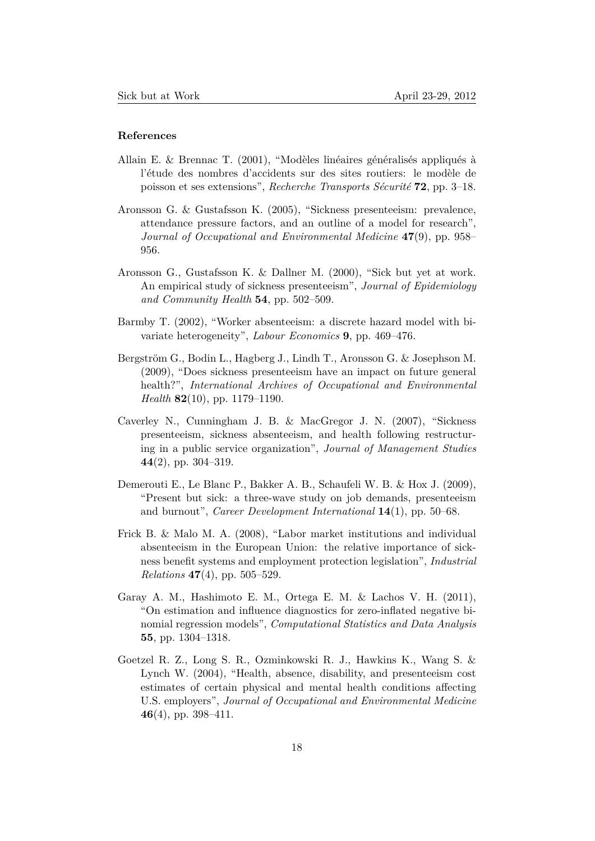# **References**

- Allain E. & Brennac T. (2001), "Modèles linéaires généralisés appliqués à l'étude des nombres d'accidents sur des sites routiers: le modèle de poisson et ses extensions", *Recherche Transports Sécurité* **72**, pp. 3–18.
- Aronsson G. & Gustafsson K. (2005), "Sickness presenteeism: prevalence, attendance pressure factors, and an outline of a model for research", *Journal of Occupational and Environmental Medicine* **47**(9), pp. 958– 956.
- Aronsson G., Gustafsson K. & Dallner M. (2000), "Sick but yet at work. An empirical study of sickness presenteeism", *Journal of Epidemiology and Community Health* **54**, pp. 502–509.
- Barmby T. (2002), "Worker absenteeism: a discrete hazard model with bivariate heterogeneity", *Labour Economics* **9**, pp. 469–476.
- Bergström G., Bodin L., Hagberg J., Lindh T., Aronsson G. & Josephson M. (2009), "Does sickness presenteeism have an impact on future general health?", *International Archives of Occupational and Environmental Health* **82**(10), pp. 1179–1190.
- Caverley N., Cunningham J. B. & MacGregor J. N. (2007), "Sickness presenteeism, sickness absenteeism, and health following restructuring in a public service organization", *Journal of Management Studies* **44**(2), pp. 304–319.
- Demerouti E., Le Blanc P., Bakker A. B., Schaufeli W. B. & Hox J. (2009), "Present but sick: a three-wave study on job demands, presenteeism and burnout", *Career Development International* **14**(1), pp. 50–68.
- Frick B. & Malo M. A. (2008), "Labor market institutions and individual absenteeism in the European Union: the relative importance of sickness benefit systems and employment protection legislation", *Industrial Relations* **47**(4), pp. 505–529.
- Garay A. M., Hashimoto E. M., Ortega E. M. & Lachos V. H. (2011), "On estimation and influence diagnostics for zero-inflated negative binomial regression models", *Computational Statistics and Data Analysis* **55**, pp. 1304–1318.
- Goetzel R. Z., Long S. R., Ozminkowski R. J., Hawkins K., Wang S. & Lynch W. (2004), "Health, absence, disability, and presenteeism cost estimates of certain physical and mental health conditions affecting U.S. employers", *Journal of Occupational and Environmental Medicine* **46**(4), pp. 398–411.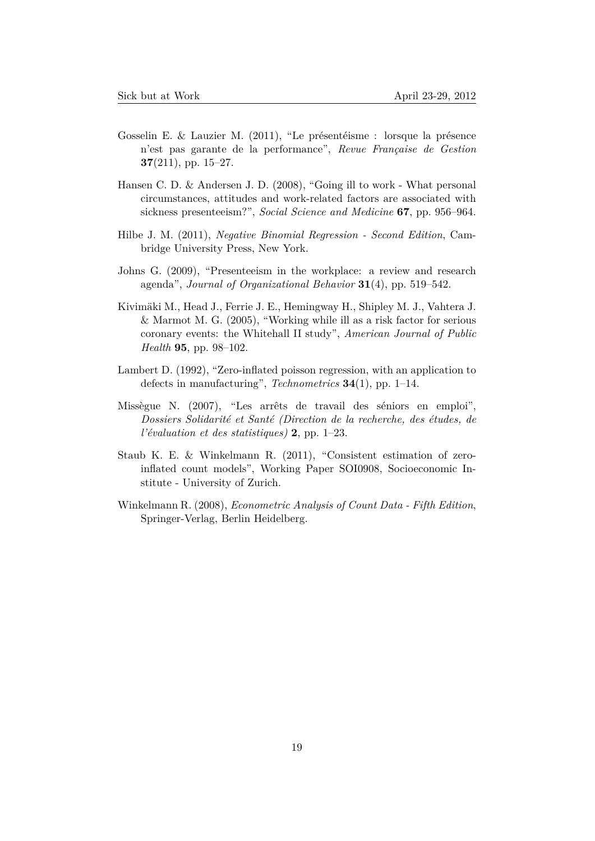- Gosselin E. & Lauzier M. (2011), "Le présentéisme : lorsque la présence n'est pas garante de la performance", *Revue Française de Gestion* **37**(211), pp. 15–27.
- Hansen C. D. & Andersen J. D. (2008), "Going ill to work What personal circumstances, attitudes and work-related factors are associated with sickness presenteeism?", *Social Science and Medicine* **67**, pp. 956–964.
- Hilbe J. M. (2011), *Negative Binomial Regression Second Edition*, Cambridge University Press, New York.
- Johns G. (2009), "Presenteeism in the workplace: a review and research agenda", *Journal of Organizational Behavior* **31**(4), pp. 519–542.
- Kivimäki M., Head J., Ferrie J. E., Hemingway H., Shipley M. J., Vahtera J. & Marmot M. G. (2005), "Working while ill as a risk factor for serious coronary events: the Whitehall II study", *American Journal of Public Health* **95**, pp. 98–102.
- Lambert D. (1992), "Zero-inflated poisson regression, with an application to defects in manufacturing", *Technometrics* **34**(1), pp. 1–14.
- Missègue N. (2007), "Les arrêts de travail des séniors en emploi", *Dossiers Solidarité et Santé (Direction de la recherche, des études, de l'évaluation et des statistiques)* **2**, pp. 1–23.
- Staub K. E. & Winkelmann R. (2011), "Consistent estimation of zeroinflated count models", Working Paper SOI0908, Socioeconomic Institute - University of Zurich.
- Winkelmann R. (2008), *Econometric Analysis of Count Data Fifth Edition*, Springer-Verlag, Berlin Heidelberg.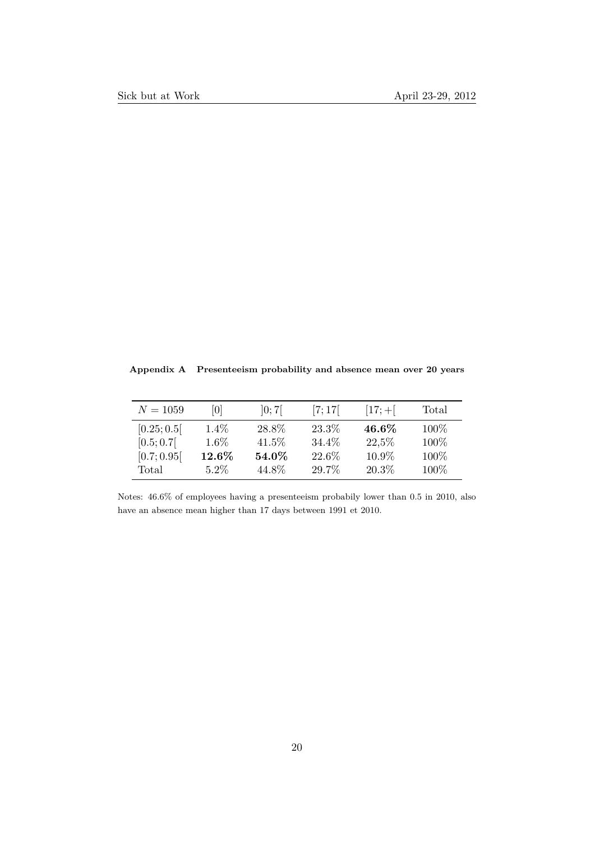<span id="page-19-0"></span>**Appendix A Presenteeism probability and absence mean over 20 years**

| $N = 1059$  | 10       | ]0;7[ | [7;17] | $[17; +]$ | Total |
|-------------|----------|-------|--------|-----------|-------|
| [0.25; 0.5] | $1.4\%$  | 28.8% | 23.3%  | 46.6%     | 100\% |
| [0.5; 0.7]  | $1.6\%$  | 41.5% | 34.4%  | 22,5%     | 100%  |
| [0.7; 0.95] | $12.6\%$ | 54.0% | 22.6%  | 10.9%     | 100%  |
| Total       | $5.2\%$  | 44.8% | 29.7%  | 20.3%     | 100%  |

Notes: 46.6% of employees having a presenteeism probabily lower than 0.5 in 2010, also have an absence mean higher than 17 days between 1991 et 2010.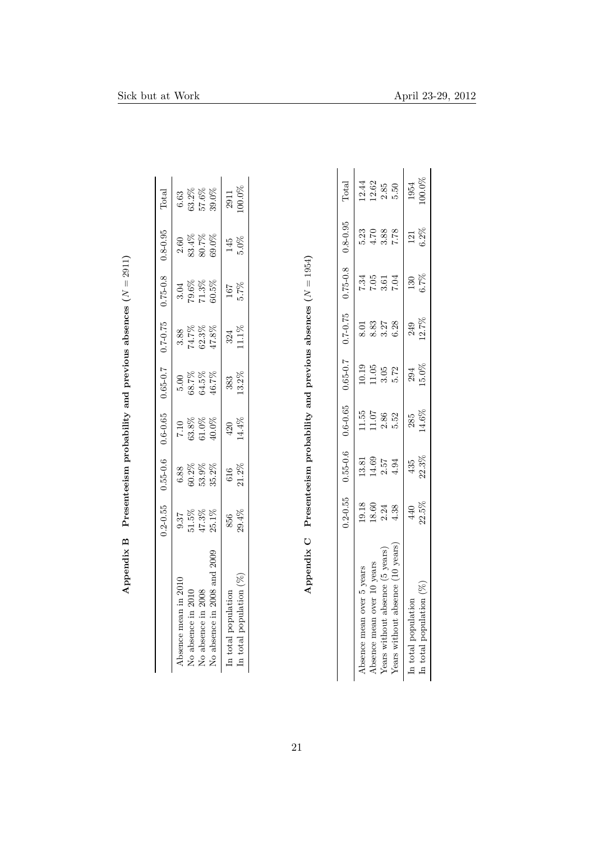<span id="page-20-0"></span>

|                             | $0.2 - 0.55$ | $0.55 - 0.6$ |       | $0.6-0.65$ $0.65-0.7$ $0.7-0.75$ |          | $0.75 - 0.8$ | $0.8 - 0.95$ | $_{\rm Total}$ |
|-----------------------------|--------------|--------------|-------|----------------------------------|----------|--------------|--------------|----------------|
| Absence mean in 2010        | 0.37         | 6.88         | 7.10  | 5.00                             | 3.88     | 3.04         | 2.60         | 6.63           |
| No absence in 2010          | 51.5%        | $60.2\%$     | 63.8% | 68.7%                            | $74.7\%$ | 79.6%        | $83.4\%$     | $63.2\%$       |
| No absence in 2008          | 47.3%        | 53.9%        | 61.0% | 64.5%                            | 62.3%    | 71.3%        | 80.7%        | 57.6%          |
| No absence in 2008 and 2009 | $25.1\%$     | 35.2%        | 40.0% | 46.7%                            | 47.8%    | 60.5%        | 69.0%        | 39.0%          |
| In total population         | 856          | 616          | 420   | 383                              | 324      | 167          | 145          | 2911           |
| In total population $(\%)$  | 29.4%        | 21.2%        | 14.4% | $13.2\%$                         | $11.1\%$ | 5.7%         | $5.0\%$      | 100.0%         |

<span id="page-20-1"></span>

|                                  | $0.2 - 0.55$                           |                                                       |                                                       | $0.55 - 0.6$ $0.6 - 0.65$ $0.65 - 0.7$ $0.7 - 0.75$           |                            | $0.75 - 0.8$ $0.8 - 0.95$ |                                           | Total                |
|----------------------------------|----------------------------------------|-------------------------------------------------------|-------------------------------------------------------|---------------------------------------------------------------|----------------------------|---------------------------|-------------------------------------------|----------------------|
| Absence mean over 5 years        |                                        |                                                       |                                                       |                                                               |                            |                           |                                           | 12.44                |
| Absence mean over 10 years       | $19.18$<br>$18.60$<br>$2.34$<br>$4.38$ | $\begin{array}{c} 13.81 \\ 14.69 \\ 2.57 \end{array}$ | $\begin{array}{c} 11.55 \\ 11.07 \\ 2.86 \end{array}$ | $\begin{array}{c} 10.19 \\ 11.05 \\ 3.05 \\ 5.72 \end{array}$ | $8.33$<br>$8.37$<br>$3.27$ | 7.34<br>7.05<br>7.04      | 12 12 12 12<br>12 12 12 12<br>12 12 12 13 | $\frac{12.62}{2.85}$ |
| Years without absence (5 years)  |                                        |                                                       |                                                       |                                                               |                            |                           |                                           |                      |
| Years without absence (10 years) |                                        | 4.94                                                  | 5.52                                                  |                                                               | 6.28                       |                           |                                           |                      |
| In total population              |                                        |                                                       |                                                       |                                                               |                            | 130                       |                                           |                      |
| In total population $(\%)$       | $\frac{440}{22.5\%}$                   | $\frac{435}{22.3\%}$                                  | $\frac{285}{14.6\%}$                                  | $15.0\%$                                                      | 249<br>12.7%               | 6.7%                      | $\frac{121}{6.2\%}$                       | $1954$<br>$100.0\%$  |
|                                  |                                        |                                                       |                                                       |                                                               |                            |                           |                                           |                      |